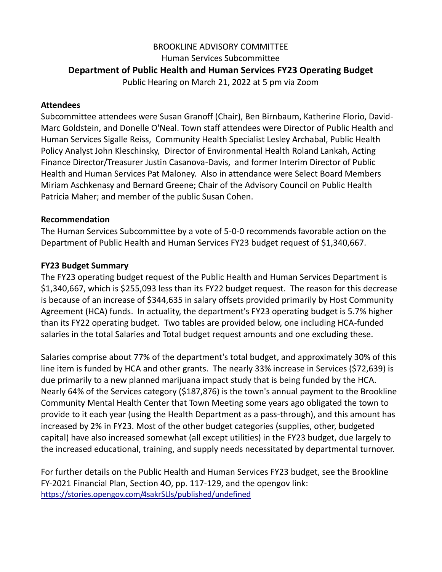# BROOKLINE ADVISORY COMMITTEE Human Services Subcommittee **Department of Public Health and Human Services FY23 Operating Budget**

Public Hearing on March 21, 2022 at 5 pm via Zoom

## **Attendees**

Subcommittee attendees were Susan Granoff (Chair), Ben Birnbaum, Katherine Florio, David-Marc Goldstein, and Donelle O'Neal. Town staff attendees were Director of Public Health and Human Services Sigalle Reiss, Community Health Specialist Lesley Archabal, Public Health Policy Analyst John Kleschinsky, Director of Environmental Health Roland Lankah, Acting Finance Director/Treasurer Justin Casanova-Davis, and former Interim Director of Public Health and Human Services Pat Maloney. Also in attendance were Select Board Members Miriam Aschkenasy and Bernard Greene; Chair of the Advisory Council on Public Health Patricia Maher; and member of the public Susan Cohen.

## **Recommendation**

The Human Services Subcommittee by a vote of 5-0-0 recommends favorable action on the Department of Public Health and Human Services FY23 budget request of \$1,340,667.

## **FY23 Budget Summary**

The FY23 operating budget request of the Public Health and Human Services Department is \$1,340,667, which is \$255,093 less than its FY22 budget request. The reason for this decrease is because of an increase of \$344,635 in salary offsets provided primarily by Host Community Agreement (HCA) funds. In actuality, the department's FY23 operating budget is 5.7% higher than its FY22 operating budget. Two tables are provided below, one including HCA-funded salaries in the total Salaries and Total budget request amounts and one excluding these.

Salaries comprise about 77% of the department's total budget, and approximately 30% of this line item is funded by HCA and other grants. The nearly 33% increase in Services (\$72,639) is due primarily to a new planned marijuana impact study that is being funded by the HCA. Nearly 64% of the Services category (\$187,876) is the town's annual payment to the Brookline Community Mental Health Center that Town Meeting some years ago obligated the town to provide to it each year (using the Health Department as a pass-through), and this amount has increased by 2% in FY23. Most of the other budget categories (supplies, other, budgeted capital) have also increased somewhat (all except utilities) in the FY23 budget, due largely to the increased educational, training, and supply needs necessitated by departmental turnover.

For further details on the Public Health and Human Services FY23 budget, see the Brookline FY-2021 Financial Plan, Section 4O, pp. 117-129, and the opengov link: <https://stories.opengov.com/4sakrSLls/published/undefined>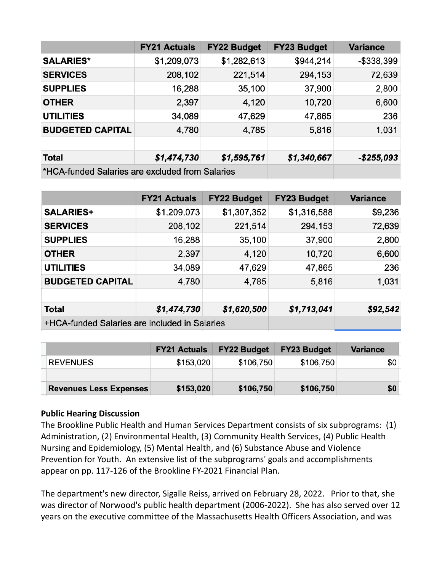|                                                 | <b>FY21 Actuals</b> | <b>FY22 Budget</b> | <b>FY23 Budget</b> | <b>Variance</b> |
|-------------------------------------------------|---------------------|--------------------|--------------------|-----------------|
| <b>SALARIES*</b>                                | \$1,209,073         | \$1,282,613        | \$944,214          | $-$ \$338,399   |
| <b>SERVICES</b>                                 | 208,102             | 221,514            | 294,153            | 72,639          |
| <b>SUPPLIES</b>                                 | 16,288              | 35,100             | 37,900             | 2,800           |
| <b>OTHER</b>                                    | 2,397               | 4,120              | 10,720             | 6,600           |
| <b>UTILITIES</b>                                | 34,089              | 47,629             | 47,865             | 236             |
| <b>BUDGETED CAPITAL</b>                         | 4,780               | 4,785              | 5,816              | 1,031           |
|                                                 |                     |                    |                    |                 |
| <b>Total</b>                                    | \$1,474,730         | \$1,595,761        | \$1,340,667        | -\$255,093      |
| *HCA-funded Salaries are excluded from Salaries |                     |                    |                    |                 |

|                                               | <b>FY21 Actuals</b> | <b>FY22 Budget</b> | <b>FY23 Budget</b> | <b>Variance</b> |
|-----------------------------------------------|---------------------|--------------------|--------------------|-----------------|
| <b>SALARIES+</b>                              | \$1,209,073         | \$1,307,352        | \$1,316,588        | \$9,236         |
| <b>SERVICES</b>                               | 208,102             | 221,514            | 294,153            | 72,639          |
| <b>SUPPLIES</b>                               | 16,288              | 35,100             | 37,900             | 2,800           |
| <b>OTHER</b>                                  | 2,397               | 4,120              | 10,720             | 6,600           |
| <b>UTILITIES</b>                              | 34,089              | 47,629             | 47,865             | 236             |
| <b>BUDGETED CAPITAL</b>                       | 4,780               | 4,785              | 5,816              | 1,031           |
|                                               |                     |                    |                    |                 |
| <b>Total</b>                                  | \$1,474,730         | \$1,620,500        | \$1,713,041        | \$92,542        |
| +HCA-funded Salaries are included in Salaries |                     |                    |                    |                 |

|                               | <b>FY21 Actuals</b> | <b>FY22 Budget</b> | <b>FY23 Budget</b> | <b>Variance</b> |
|-------------------------------|---------------------|--------------------|--------------------|-----------------|
| <b>REVENUES</b>               | \$153,020           | \$106,750          | \$106,750          | \$0             |
|                               |                     |                    |                    |                 |
| <b>Revenues Less Expenses</b> | \$153,020           | \$106,750          | \$106,750          | \$0             |

#### **Public Hearing Discussion**

The Brookline Public Health and Human Services Department consists of six subprograms: (1) Administration, (2) Environmental Health, (3) Community Health Services, (4) Public Health Nursing and Epidemiology, (5) Mental Health, and (6) Substance Abuse and Violence Prevention for Youth. An extensive list of the subprograms' goals and accomplishments appear on pp. 117-126 of the Brookline FY-2021 Financial Plan.

The department's new director, Sigalle Reiss, arrived on February 28, 2022. Prior to that, she was director of Norwood's public health department (2006-2022). She has also served over 12 years on the executive committee of the Massachusetts Health Officers Association, and was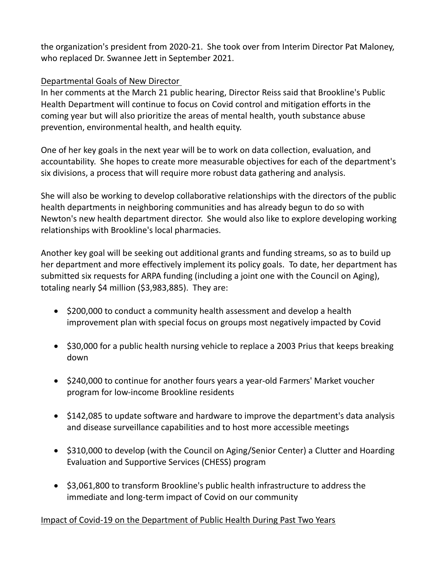the organization's president from 2020-21. She took over from Interim Director Pat Maloney, who replaced Dr. Swannee Jett in September 2021.

## Departmental Goals of New Director

In her comments at the March 21 public hearing, Director Reiss said that Brookline's Public Health Department will continue to focus on Covid control and mitigation efforts in the coming year but will also prioritize the areas of mental health, youth substance abuse prevention, environmental health, and health equity.

One of her key goals in the next year will be to work on data collection, evaluation, and accountability. She hopes to create more measurable objectives for each of the department's six divisions, a process that will require more robust data gathering and analysis.

She will also be working to develop collaborative relationships with the directors of the public health departments in neighboring communities and has already begun to do so with Newton's new health department director. She would also like to explore developing working relationships with Brookline's local pharmacies.

Another key goal will be seeking out additional grants and funding streams, so as to build up her department and more effectively implement its policy goals. To date, her department has submitted six requests for ARPA funding (including a joint one with the Council on Aging), totaling nearly \$4 million (\$3,983,885). They are:

- \$200,000 to conduct a community health assessment and develop a health improvement plan with special focus on groups most negatively impacted by Covid
- \$30,000 for a public health nursing vehicle to replace a 2003 Prius that keeps breaking down
- \$240,000 to continue for another fours years a year-old Farmers' Market voucher program for low-income Brookline residents
- \$142,085 to update software and hardware to improve the department's data analysis and disease surveillance capabilities and to host more accessible meetings
- \$310,000 to develop (with the Council on Aging/Senior Center) a Clutter and Hoarding Evaluation and Supportive Services (CHESS) program
- \$3,061,800 to transform Brookline's public health infrastructure to address the immediate and long-term impact of Covid on our community

#### Impact of Covid-19 on the Department of Public Health During Past Two Years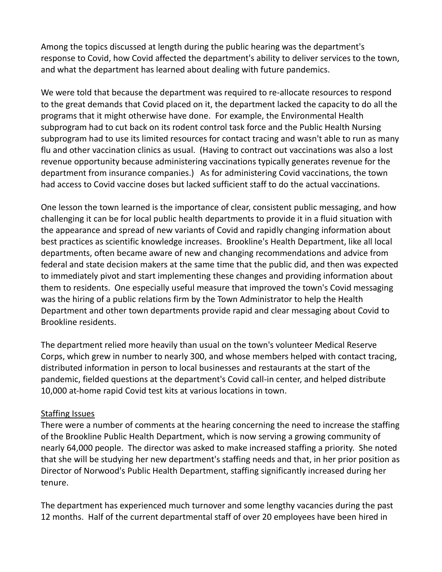Among the topics discussed at length during the public hearing was the department's response to Covid, how Covid affected the department's ability to deliver services to the town, and what the department has learned about dealing with future pandemics.

We were told that because the department was required to re-allocate resources to respond to the great demands that Covid placed on it, the department lacked the capacity to do all the programs that it might otherwise have done. For example, the Environmental Health subprogram had to cut back on its rodent control task force and the Public Health Nursing subprogram had to use its limited resources for contact tracing and wasn't able to run as many flu and other vaccination clinics as usual. (Having to contract out vaccinations was also a lost revenue opportunity because administering vaccinations typically generates revenue for the department from insurance companies.) As for administering Covid vaccinations, the town had access to Covid vaccine doses but lacked sufficient staff to do the actual vaccinations.

One lesson the town learned is the importance of clear, consistent public messaging, and how challenging it can be for local public health departments to provide it in a fluid situation with the appearance and spread of new variants of Covid and rapidly changing information about best practices as scientific knowledge increases. Brookline's Health Department, like all local departments, often became aware of new and changing recommendations and advice from federal and state decision makers at the same time that the public did, and then was expected to immediately pivot and start implementing these changes and providing information about them to residents. One especially useful measure that improved the town's Covid messaging was the hiring of a public relations firm by the Town Administrator to help the Health Department and other town departments provide rapid and clear messaging about Covid to Brookline residents.

The department relied more heavily than usual on the town's volunteer Medical Reserve Corps, which grew in number to nearly 300, and whose members helped with contact tracing, distributed information in person to local businesses and restaurants at the start of the pandemic, fielded questions at the department's Covid call-in center, and helped distribute 10,000 at-home rapid Covid test kits at various locations in town.

#### Staffing Issues

There were a number of comments at the hearing concerning the need to increase the staffing of the Brookline Public Health Department, which is now serving a growing community of nearly 64,000 people. The director was asked to make increased staffing a priority. She noted that she will be studying her new department's staffing needs and that, in her prior position as Director of Norwood's Public Health Department, staffing significantly increased during her tenure.

The department has experienced much turnover and some lengthy vacancies during the past 12 months. Half of the current departmental staff of over 20 employees have been hired in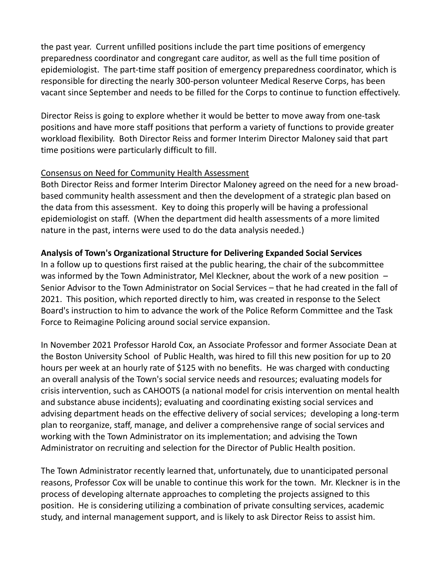the past year. Current unfilled positions include the part time positions of emergency preparedness coordinator and congregant care auditor, as well as the full time position of epidemiologist. The part-time staff position of emergency preparedness coordinator, which is responsible for directing the nearly 300-person volunteer Medical Reserve Corps, has been vacant since September and needs to be filled for the Corps to continue to function effectively.

Director Reiss is going to explore whether it would be better to move away from one-task positions and have more staff positions that perform a variety of functions to provide greater workload flexibility. Both Director Reiss and former Interim Director Maloney said that part time positions were particularly difficult to fill.

#### Consensus on Need for Community Health Assessment

Both Director Reiss and former Interim Director Maloney agreed on the need for a new broadbased community health assessment and then the development of a strategic plan based on the data from this assessment. Key to doing this properly will be having a professional epidemiologist on staff. (When the department did health assessments of a more limited nature in the past, interns were used to do the data analysis needed.)

#### **Analysis of Town's Organizational Structure for Delivering Expanded Social Services**

In a follow up to questions first raised at the public hearing, the chair of the subcommittee was informed by the Town Administrator, Mel Kleckner, about the work of a new position -Senior Advisor to the Town Administrator on Social Services – that he had created in the fall of 2021. This position, which reported directly to him, was created in response to the Select Board's instruction to him to advance the work of the Police Reform Committee and the Task Force to Reimagine Policing around social service expansion.

In November 2021 Professor Harold Cox, an Associate Professor and former Associate Dean at the Boston University School of Public Health, was hired to fill this new position for up to 20 hours per week at an hourly rate of \$125 with no benefits. He was charged with conducting an overall analysis of the Town's social service needs and resources; evaluating models for crisis intervention, such as CAHOOTS (a national model for crisis intervention on mental health and substance abuse incidents); evaluating and coordinating existing social services and advising department heads on the effective delivery of social services; developing a long-term plan to reorganize, staff, manage, and deliver a comprehensive range of social services and working with the Town Administrator on its implementation; and advising the Town Administrator on recruiting and selection for the Director of Public Health position.

The Town Administrator recently learned that, unfortunately, due to unanticipated personal reasons, Professor Cox will be unable to continue this work for the town. Mr. Kleckner is in the process of developing alternate approaches to completing the projects assigned to this position. He is considering utilizing a combination of private consulting services, academic study, and internal management support, and is likely to ask Director Reiss to assist him.